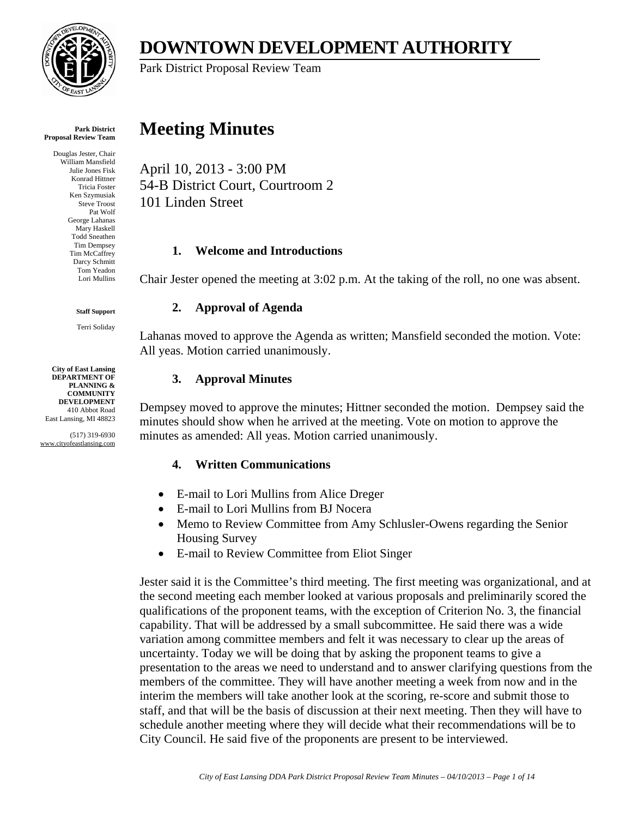

**DOWNTOWN DEVELOPMENT AUTHORITY** 

Park District Proposal Review Team

#### **Park District Proposal Review Team**

Douglas Jester, Chair William Mansfield Julie Jones Fisk Konrad Hittner Tricia Foster Ken Szymusiak Steve Troost Pat Wolf **Beorge Lahanas** Mary Haskell Todd Sneathen Tim Dempsey im McCaffrey Darcy Schmitt Tom Yeadon Lori Mullins Ken Szymusiak<br>Steve Troost<br>Pat Wolf<br>George Lahanas<br>Mary Haskell Tim Dempsey<br>Tim McCaffrey<br>Darcy Schmitt

**Staff Support**

Terri Soliday

**City of East Lansing DEPARTMENT OF DEPARTMENT OF PLANNING & COMMUNITY COMMUNITY COMMUNITYDEVELOPMENT** 410 Abbot Road **City of East Lansing**

East Lansing, MI 48823<br>(517) 319-6930 www.cityofeastlansing.com

# **Meeting Minutes**

April 10, 2013 - 3:00 PM 54-B District Court, Courtroom 2 101 Linden Street

#### **1. Welcome and Introductions**

Chair Jester opened the meeting at 3:02 p.m. At the taking of the roll, no one was absent.

### **2. Approval of Agenda**

Lahanas moved to approve the Agenda as written; Mansfield seconded the motion. Vote: All yeas. Motion carried unanimously.

# **3. Approval Minutes**

Dempsey moved to approve the minutes; Hittner seconded the motion. Dempsey said the minutes should show when he arrived at the meeting. Vote on motion to approve the minutes as amended: All yeas. Motion carried unanimously.

#### **4. Written Communications**

- E-mail to Lori Mullins from Alice Dreger
- E-mail to Lori Mullins from BJ Nocera
- Memo to Review Committee from Amy Schlusler-Owens regarding the Senior Housing Survey
- E-mail to Review Committee from Eliot Singer

Jester said it is the Committee's third meeting. The first meeting was organizational, and at the second meeting each member looked at various proposals and preliminarily scored the qualifications of the proponent teams, with the exception of Criterion No. 3, the financial capability. That will be addressed by a small subcommittee. He said there was a wide variation among committee members and felt it was necessary to clear up the areas of uncertainty. Today we will be doing that by asking the proponent teams to give a presentation to the areas we need to understand and to answer clarifying questions from the members of the committee. They will have another meeting a week from now and in the interim the members will take another look at the scoring, re-score and submit those to staff, and that will be the basis of discussion at their next meeting. Then they will have to schedule another meeting where they will decide what their recommendations will be to City Council. He said five of the proponents are present to be interviewed.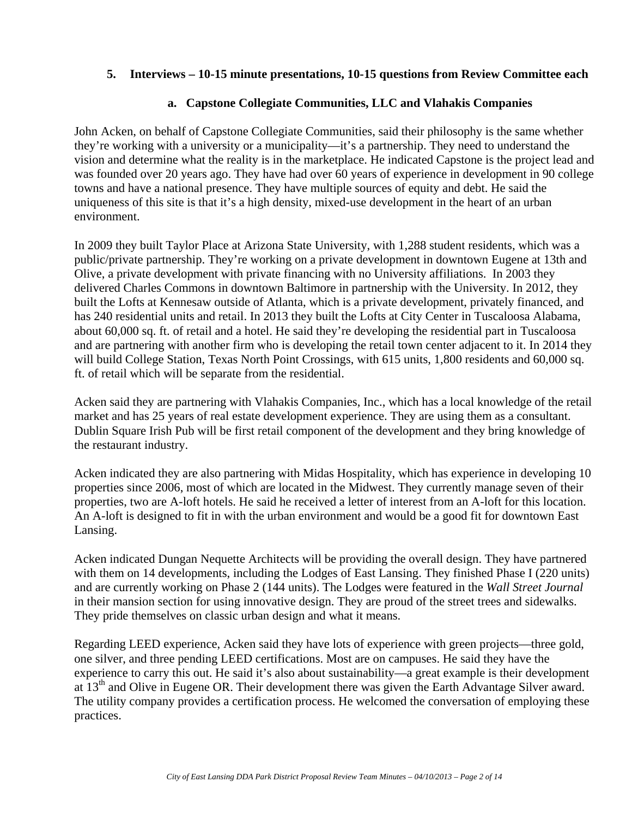#### **5. Interviews – 10-15 minute presentations, 10-15 questions from Review Committee each**

#### **a. Capstone Collegiate Communities, LLC and Vlahakis Companies**

John Acken, on behalf of Capstone Collegiate Communities, said their philosophy is the same whether they're working with a university or a municipality—it's a partnership. They need to understand the vision and determine what the reality is in the marketplace. He indicated Capstone is the project lead and was founded over 20 years ago. They have had over 60 years of experience in development in 90 college towns and have a national presence. They have multiple sources of equity and debt. He said the uniqueness of this site is that it's a high density, mixed-use development in the heart of an urban environment.

In 2009 they built Taylor Place at Arizona State University, with 1,288 student residents, which was a public/private partnership. They're working on a private development in downtown Eugene at 13th and Olive, a private development with private financing with no University affiliations. In 2003 they delivered Charles Commons in downtown Baltimore in partnership with the University. In 2012, they built the Lofts at Kennesaw outside of Atlanta, which is a private development, privately financed, and has 240 residential units and retail. In 2013 they built the Lofts at City Center in Tuscaloosa Alabama, about 60,000 sq. ft. of retail and a hotel. He said they're developing the residential part in Tuscaloosa and are partnering with another firm who is developing the retail town center adjacent to it. In 2014 they will build College Station, Texas North Point Crossings, with 615 units, 1,800 residents and 60,000 sq. ft. of retail which will be separate from the residential.

Acken said they are partnering with Vlahakis Companies, Inc., which has a local knowledge of the retail market and has 25 years of real estate development experience. They are using them as a consultant. Dublin Square Irish Pub will be first retail component of the development and they bring knowledge of the restaurant industry.

Acken indicated they are also partnering with Midas Hospitality, which has experience in developing 10 properties since 2006, most of which are located in the Midwest. They currently manage seven of their properties, two are A-loft hotels. He said he received a letter of interest from an A-loft for this location. An A-loft is designed to fit in with the urban environment and would be a good fit for downtown East Lansing.

Acken indicated Dungan Nequette Architects will be providing the overall design. They have partnered with them on 14 developments, including the Lodges of East Lansing. They finished Phase I (220 units) and are currently working on Phase 2 (144 units). The Lodges were featured in the *Wall Street Journal* in their mansion section for using innovative design. They are proud of the street trees and sidewalks. They pride themselves on classic urban design and what it means.

Regarding LEED experience, Acken said they have lots of experience with green projects—three gold, one silver, and three pending LEED certifications. Most are on campuses. He said they have the experience to carry this out. He said it's also about sustainability—a great example is their development at  $13<sup>th</sup>$  and Olive in Eugene OR. Their development there was given the Earth Advantage Silver award. The utility company provides a certification process. He welcomed the conversation of employing these practices.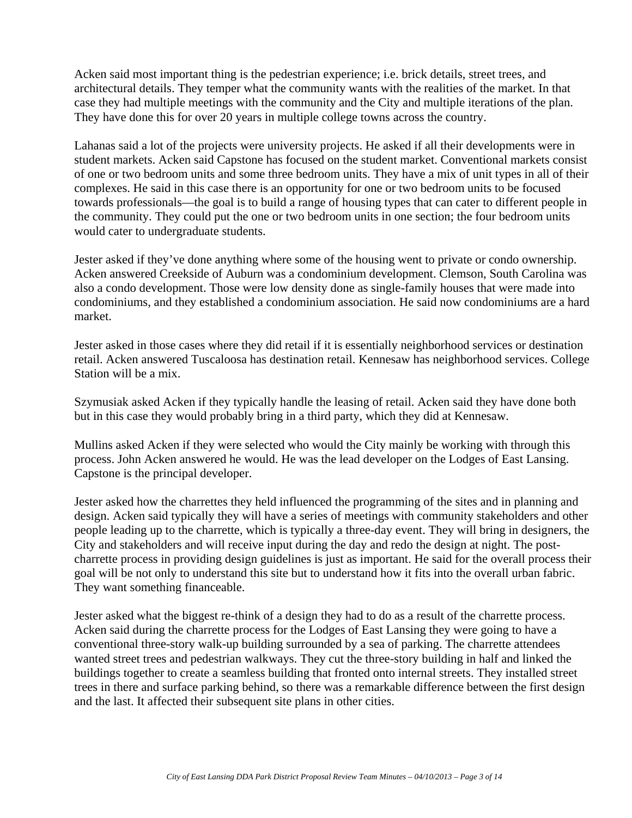Acken said most important thing is the pedestrian experience; i.e. brick details, street trees, and architectural details. They temper what the community wants with the realities of the market. In that case they had multiple meetings with the community and the City and multiple iterations of the plan. They have done this for over 20 years in multiple college towns across the country.

Lahanas said a lot of the projects were university projects. He asked if all their developments were in student markets. Acken said Capstone has focused on the student market. Conventional markets consist of one or two bedroom units and some three bedroom units. They have a mix of unit types in all of their complexes. He said in this case there is an opportunity for one or two bedroom units to be focused towards professionals—the goal is to build a range of housing types that can cater to different people in the community. They could put the one or two bedroom units in one section; the four bedroom units would cater to undergraduate students.

Jester asked if they've done anything where some of the housing went to private or condo ownership. Acken answered Creekside of Auburn was a condominium development. Clemson, South Carolina was also a condo development. Those were low density done as single-family houses that were made into condominiums, and they established a condominium association. He said now condominiums are a hard market.

Jester asked in those cases where they did retail if it is essentially neighborhood services or destination retail. Acken answered Tuscaloosa has destination retail. Kennesaw has neighborhood services. College Station will be a mix.

Szymusiak asked Acken if they typically handle the leasing of retail. Acken said they have done both but in this case they would probably bring in a third party, which they did at Kennesaw.

Mullins asked Acken if they were selected who would the City mainly be working with through this process. John Acken answered he would. He was the lead developer on the Lodges of East Lansing. Capstone is the principal developer.

Jester asked how the charrettes they held influenced the programming of the sites and in planning and design. Acken said typically they will have a series of meetings with community stakeholders and other people leading up to the charrette, which is typically a three-day event. They will bring in designers, the City and stakeholders and will receive input during the day and redo the design at night. The postcharrette process in providing design guidelines is just as important. He said for the overall process their goal will be not only to understand this site but to understand how it fits into the overall urban fabric. They want something financeable.

Jester asked what the biggest re-think of a design they had to do as a result of the charrette process. Acken said during the charrette process for the Lodges of East Lansing they were going to have a conventional three-story walk-up building surrounded by a sea of parking. The charrette attendees wanted street trees and pedestrian walkways. They cut the three-story building in half and linked the buildings together to create a seamless building that fronted onto internal streets. They installed street trees in there and surface parking behind, so there was a remarkable difference between the first design and the last. It affected their subsequent site plans in other cities.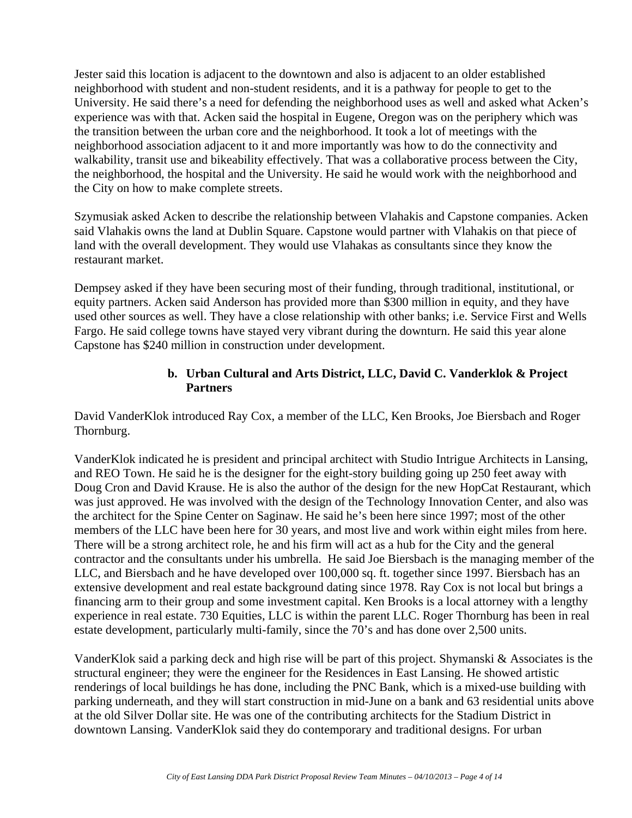Jester said this location is adjacent to the downtown and also is adjacent to an older established neighborhood with student and non-student residents, and it is a pathway for people to get to the University. He said there's a need for defending the neighborhood uses as well and asked what Acken's experience was with that. Acken said the hospital in Eugene, Oregon was on the periphery which was the transition between the urban core and the neighborhood. It took a lot of meetings with the neighborhood association adjacent to it and more importantly was how to do the connectivity and walkability, transit use and bikeability effectively. That was a collaborative process between the City, the neighborhood, the hospital and the University. He said he would work with the neighborhood and the City on how to make complete streets.

Szymusiak asked Acken to describe the relationship between Vlahakis and Capstone companies. Acken said Vlahakis owns the land at Dublin Square. Capstone would partner with Vlahakis on that piece of land with the overall development. They would use Vlahakas as consultants since they know the restaurant market.

Dempsey asked if they have been securing most of their funding, through traditional, institutional, or equity partners. Acken said Anderson has provided more than \$300 million in equity, and they have used other sources as well. They have a close relationship with other banks; i.e. Service First and Wells Fargo. He said college towns have stayed very vibrant during the downturn. He said this year alone Capstone has \$240 million in construction under development.

#### **b. Urban Cultural and Arts District, LLC, David C. Vanderklok & Project Partners**

David VanderKlok introduced Ray Cox, a member of the LLC, Ken Brooks, Joe Biersbach and Roger Thornburg.

VanderKlok indicated he is president and principal architect with Studio Intrigue Architects in Lansing, and REO Town. He said he is the designer for the eight-story building going up 250 feet away with Doug Cron and David Krause. He is also the author of the design for the new HopCat Restaurant, which was just approved. He was involved with the design of the Technology Innovation Center, and also was the architect for the Spine Center on Saginaw. He said he's been here since 1997; most of the other members of the LLC have been here for 30 years, and most live and work within eight miles from here. There will be a strong architect role, he and his firm will act as a hub for the City and the general contractor and the consultants under his umbrella. He said Joe Biersbach is the managing member of the LLC, and Biersbach and he have developed over 100,000 sq. ft. together since 1997. Biersbach has an extensive development and real estate background dating since 1978. Ray Cox is not local but brings a financing arm to their group and some investment capital. Ken Brooks is a local attorney with a lengthy experience in real estate. 730 Equities, LLC is within the parent LLC. Roger Thornburg has been in real estate development, particularly multi-family, since the 70's and has done over 2,500 units.

VanderKlok said a parking deck and high rise will be part of this project. Shymanski & Associates is the structural engineer; they were the engineer for the Residences in East Lansing. He showed artistic renderings of local buildings he has done, including the PNC Bank, which is a mixed-use building with parking underneath, and they will start construction in mid-June on a bank and 63 residential units above at the old Silver Dollar site. He was one of the contributing architects for the Stadium District in downtown Lansing. VanderKlok said they do contemporary and traditional designs. For urban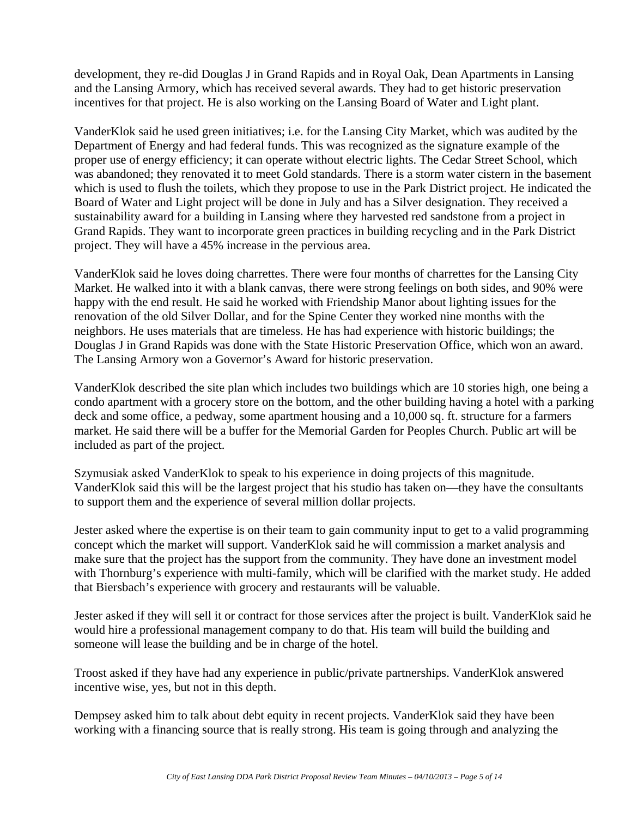development, they re-did Douglas J in Grand Rapids and in Royal Oak, Dean Apartments in Lansing and the Lansing Armory, which has received several awards. They had to get historic preservation incentives for that project. He is also working on the Lansing Board of Water and Light plant.

VanderKlok said he used green initiatives; i.e. for the Lansing City Market, which was audited by the Department of Energy and had federal funds. This was recognized as the signature example of the proper use of energy efficiency; it can operate without electric lights. The Cedar Street School, which was abandoned; they renovated it to meet Gold standards. There is a storm water cistern in the basement which is used to flush the toilets, which they propose to use in the Park District project. He indicated the Board of Water and Light project will be done in July and has a Silver designation. They received a sustainability award for a building in Lansing where they harvested red sandstone from a project in Grand Rapids. They want to incorporate green practices in building recycling and in the Park District project. They will have a 45% increase in the pervious area.

VanderKlok said he loves doing charrettes. There were four months of charrettes for the Lansing City Market. He walked into it with a blank canvas, there were strong feelings on both sides, and 90% were happy with the end result. He said he worked with Friendship Manor about lighting issues for the renovation of the old Silver Dollar, and for the Spine Center they worked nine months with the neighbors. He uses materials that are timeless. He has had experience with historic buildings; the Douglas J in Grand Rapids was done with the State Historic Preservation Office, which won an award. The Lansing Armory won a Governor's Award for historic preservation.

VanderKlok described the site plan which includes two buildings which are 10 stories high, one being a condo apartment with a grocery store on the bottom, and the other building having a hotel with a parking deck and some office, a pedway, some apartment housing and a 10,000 sq. ft. structure for a farmers market. He said there will be a buffer for the Memorial Garden for Peoples Church. Public art will be included as part of the project.

Szymusiak asked VanderKlok to speak to his experience in doing projects of this magnitude. VanderKlok said this will be the largest project that his studio has taken on—they have the consultants to support them and the experience of several million dollar projects.

Jester asked where the expertise is on their team to gain community input to get to a valid programming concept which the market will support. VanderKlok said he will commission a market analysis and make sure that the project has the support from the community. They have done an investment model with Thornburg's experience with multi-family, which will be clarified with the market study. He added that Biersbach's experience with grocery and restaurants will be valuable.

Jester asked if they will sell it or contract for those services after the project is built. VanderKlok said he would hire a professional management company to do that. His team will build the building and someone will lease the building and be in charge of the hotel.

Troost asked if they have had any experience in public/private partnerships. VanderKlok answered incentive wise, yes, but not in this depth.

Dempsey asked him to talk about debt equity in recent projects. VanderKlok said they have been working with a financing source that is really strong. His team is going through and analyzing the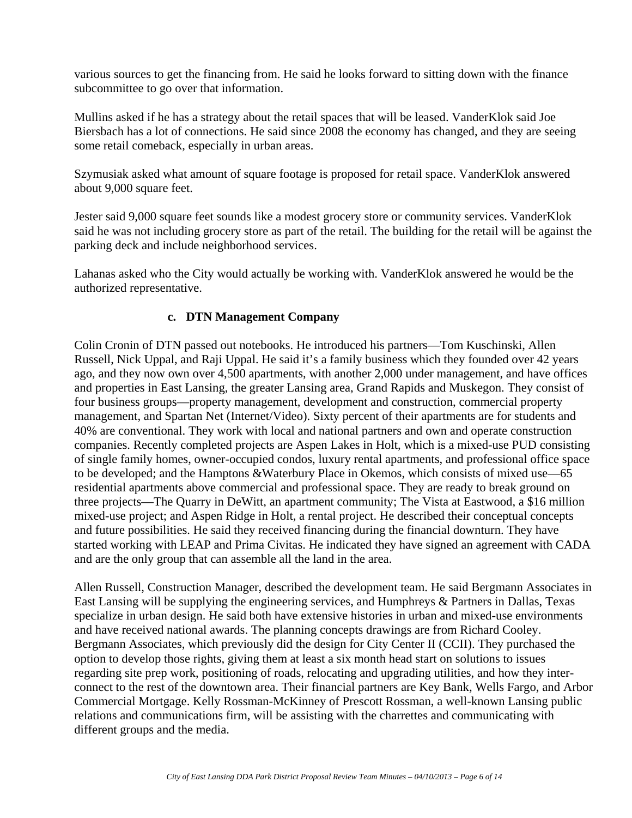various sources to get the financing from. He said he looks forward to sitting down with the finance subcommittee to go over that information.

Mullins asked if he has a strategy about the retail spaces that will be leased. VanderKlok said Joe Biersbach has a lot of connections. He said since 2008 the economy has changed, and they are seeing some retail comeback, especially in urban areas.

Szymusiak asked what amount of square footage is proposed for retail space. VanderKlok answered about 9,000 square feet.

Jester said 9,000 square feet sounds like a modest grocery store or community services. VanderKlok said he was not including grocery store as part of the retail. The building for the retail will be against the parking deck and include neighborhood services.

Lahanas asked who the City would actually be working with. VanderKlok answered he would be the authorized representative.

### **c. DTN Management Company**

Colin Cronin of DTN passed out notebooks. He introduced his partners—Tom Kuschinski, Allen Russell, Nick Uppal, and Raji Uppal. He said it's a family business which they founded over 42 years ago, and they now own over 4,500 apartments, with another 2,000 under management, and have offices and properties in East Lansing, the greater Lansing area, Grand Rapids and Muskegon. They consist of four business groups—property management, development and construction, commercial property management, and Spartan Net (Internet/Video). Sixty percent of their apartments are for students and 40% are conventional. They work with local and national partners and own and operate construction companies. Recently completed projects are Aspen Lakes in Holt, which is a mixed-use PUD consisting of single family homes, owner-occupied condos, luxury rental apartments, and professional office space to be developed; and the Hamptons &Waterbury Place in Okemos, which consists of mixed use—65 residential apartments above commercial and professional space. They are ready to break ground on three projects—The Quarry in DeWitt, an apartment community; The Vista at Eastwood, a \$16 million mixed-use project; and Aspen Ridge in Holt, a rental project. He described their conceptual concepts and future possibilities. He said they received financing during the financial downturn. They have started working with LEAP and Prima Civitas. He indicated they have signed an agreement with CADA and are the only group that can assemble all the land in the area.

Allen Russell, Construction Manager, described the development team. He said Bergmann Associates in East Lansing will be supplying the engineering services, and Humphreys & Partners in Dallas, Texas specialize in urban design. He said both have extensive histories in urban and mixed-use environments and have received national awards. The planning concepts drawings are from Richard Cooley. Bergmann Associates, which previously did the design for City Center II (CCII). They purchased the option to develop those rights, giving them at least a six month head start on solutions to issues regarding site prep work, positioning of roads, relocating and upgrading utilities, and how they interconnect to the rest of the downtown area. Their financial partners are Key Bank, Wells Fargo, and Arbor Commercial Mortgage. Kelly Rossman-McKinney of Prescott Rossman, a well-known Lansing public relations and communications firm, will be assisting with the charrettes and communicating with different groups and the media.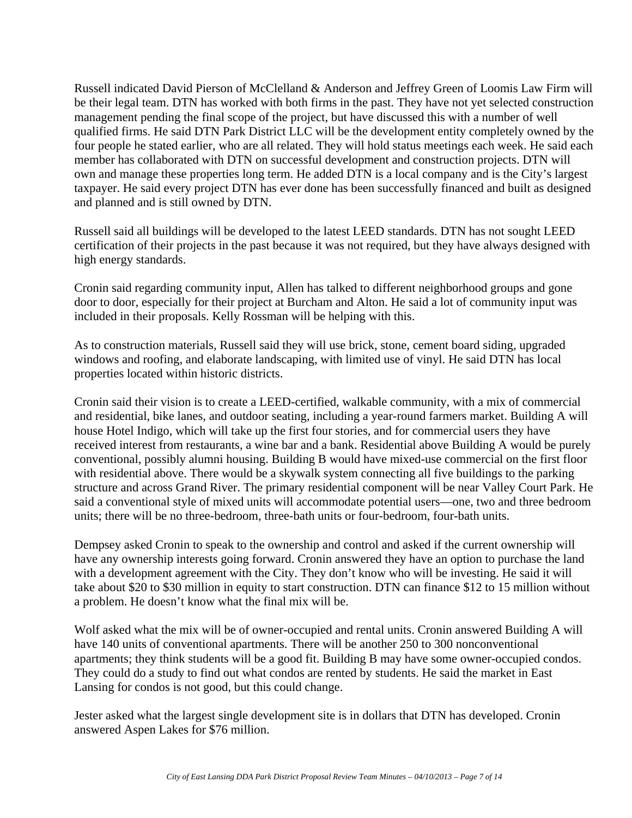Russell indicated David Pierson of McClelland & Anderson and Jeffrey Green of Loomis Law Firm will be their legal team. DTN has worked with both firms in the past. They have not yet selected construction management pending the final scope of the project, but have discussed this with a number of well qualified firms. He said DTN Park District LLC will be the development entity completely owned by the four people he stated earlier, who are all related. They will hold status meetings each week. He said each member has collaborated with DTN on successful development and construction projects. DTN will own and manage these properties long term. He added DTN is a local company and is the City's largest taxpayer. He said every project DTN has ever done has been successfully financed and built as designed and planned and is still owned by DTN.

Russell said all buildings will be developed to the latest LEED standards. DTN has not sought LEED certification of their projects in the past because it was not required, but they have always designed with high energy standards.

Cronin said regarding community input, Allen has talked to different neighborhood groups and gone door to door, especially for their project at Burcham and Alton. He said a lot of community input was included in their proposals. Kelly Rossman will be helping with this.

As to construction materials, Russell said they will use brick, stone, cement board siding, upgraded windows and roofing, and elaborate landscaping, with limited use of vinyl. He said DTN has local properties located within historic districts.

Cronin said their vision is to create a LEED-certified, walkable community, with a mix of commercial and residential, bike lanes, and outdoor seating, including a year-round farmers market. Building A will house Hotel Indigo, which will take up the first four stories, and for commercial users they have received interest from restaurants, a wine bar and a bank. Residential above Building A would be purely conventional, possibly alumni housing. Building B would have mixed-use commercial on the first floor with residential above. There would be a skywalk system connecting all five buildings to the parking structure and across Grand River. The primary residential component will be near Valley Court Park. He said a conventional style of mixed units will accommodate potential users—one, two and three bedroom units; there will be no three-bedroom, three-bath units or four-bedroom, four-bath units.

Dempsey asked Cronin to speak to the ownership and control and asked if the current ownership will have any ownership interests going forward. Cronin answered they have an option to purchase the land with a development agreement with the City. They don't know who will be investing. He said it will take about \$20 to \$30 million in equity to start construction. DTN can finance \$12 to 15 million without a problem. He doesn't know what the final mix will be.

Wolf asked what the mix will be of owner-occupied and rental units. Cronin answered Building A will have 140 units of conventional apartments. There will be another 250 to 300 nonconventional apartments; they think students will be a good fit. Building B may have some owner-occupied condos. They could do a study to find out what condos are rented by students. He said the market in East Lansing for condos is not good, but this could change.

Jester asked what the largest single development site is in dollars that DTN has developed. Cronin answered Aspen Lakes for \$76 million.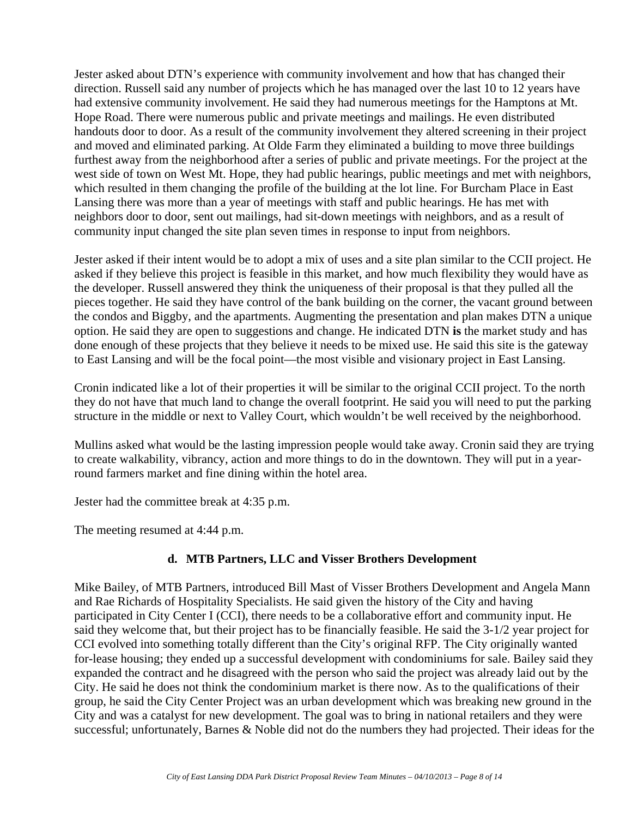Jester asked about DTN's experience with community involvement and how that has changed their direction. Russell said any number of projects which he has managed over the last 10 to 12 years have had extensive community involvement. He said they had numerous meetings for the Hamptons at Mt. Hope Road. There were numerous public and private meetings and mailings. He even distributed handouts door to door. As a result of the community involvement they altered screening in their project and moved and eliminated parking. At Olde Farm they eliminated a building to move three buildings furthest away from the neighborhood after a series of public and private meetings. For the project at the west side of town on West Mt. Hope, they had public hearings, public meetings and met with neighbors, which resulted in them changing the profile of the building at the lot line. For Burcham Place in East Lansing there was more than a year of meetings with staff and public hearings. He has met with neighbors door to door, sent out mailings, had sit-down meetings with neighbors, and as a result of community input changed the site plan seven times in response to input from neighbors.

Jester asked if their intent would be to adopt a mix of uses and a site plan similar to the CCII project. He asked if they believe this project is feasible in this market, and how much flexibility they would have as the developer. Russell answered they think the uniqueness of their proposal is that they pulled all the pieces together. He said they have control of the bank building on the corner, the vacant ground between the condos and Biggby, and the apartments. Augmenting the presentation and plan makes DTN a unique option. He said they are open to suggestions and change. He indicated DTN **is** the market study and has done enough of these projects that they believe it needs to be mixed use. He said this site is the gateway to East Lansing and will be the focal point—the most visible and visionary project in East Lansing.

Cronin indicated like a lot of their properties it will be similar to the original CCII project. To the north they do not have that much land to change the overall footprint. He said you will need to put the parking structure in the middle or next to Valley Court, which wouldn't be well received by the neighborhood.

Mullins asked what would be the lasting impression people would take away. Cronin said they are trying to create walkability, vibrancy, action and more things to do in the downtown. They will put in a yearround farmers market and fine dining within the hotel area.

Jester had the committee break at 4:35 p.m.

The meeting resumed at 4:44 p.m.

# **d. MTB Partners, LLC and Visser Brothers Development**

Mike Bailey, of MTB Partners, introduced Bill Mast of Visser Brothers Development and Angela Mann and Rae Richards of Hospitality Specialists. He said given the history of the City and having participated in City Center I (CCI), there needs to be a collaborative effort and community input. He said they welcome that, but their project has to be financially feasible. He said the 3-1/2 year project for CCI evolved into something totally different than the City's original RFP. The City originally wanted for-lease housing; they ended up a successful development with condominiums for sale. Bailey said they expanded the contract and he disagreed with the person who said the project was already laid out by the City. He said he does not think the condominium market is there now. As to the qualifications of their group, he said the City Center Project was an urban development which was breaking new ground in the City and was a catalyst for new development. The goal was to bring in national retailers and they were successful; unfortunately, Barnes & Noble did not do the numbers they had projected. Their ideas for the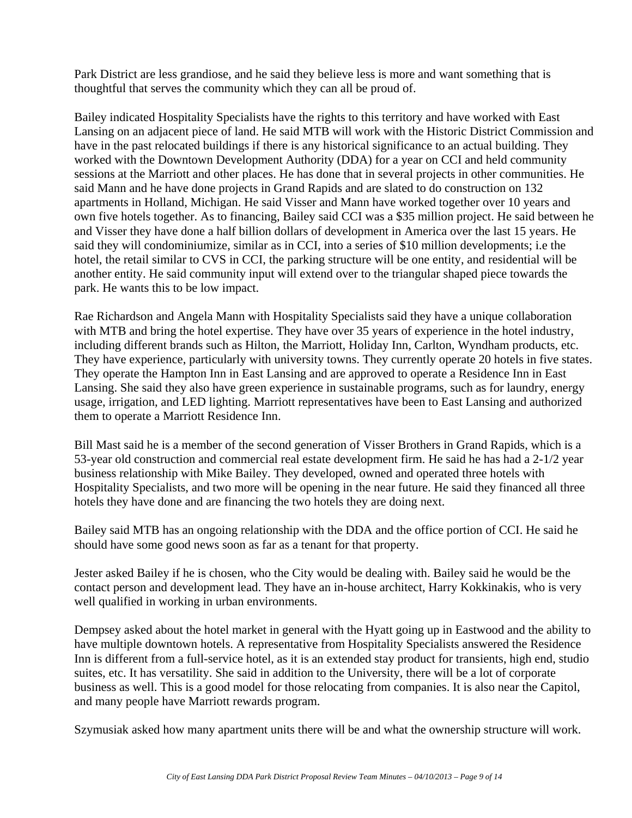Park District are less grandiose, and he said they believe less is more and want something that is thoughtful that serves the community which they can all be proud of.

Bailey indicated Hospitality Specialists have the rights to this territory and have worked with East Lansing on an adjacent piece of land. He said MTB will work with the Historic District Commission and have in the past relocated buildings if there is any historical significance to an actual building. They worked with the Downtown Development Authority (DDA) for a year on CCI and held community sessions at the Marriott and other places. He has done that in several projects in other communities. He said Mann and he have done projects in Grand Rapids and are slated to do construction on 132 apartments in Holland, Michigan. He said Visser and Mann have worked together over 10 years and own five hotels together. As to financing, Bailey said CCI was a \$35 million project. He said between he and Visser they have done a half billion dollars of development in America over the last 15 years. He said they will condominiumize, similar as in CCI, into a series of \$10 million developments; i.e the hotel, the retail similar to CVS in CCI, the parking structure will be one entity, and residential will be another entity. He said community input will extend over to the triangular shaped piece towards the park. He wants this to be low impact.

Rae Richardson and Angela Mann with Hospitality Specialists said they have a unique collaboration with MTB and bring the hotel expertise. They have over 35 years of experience in the hotel industry, including different brands such as Hilton, the Marriott, Holiday Inn, Carlton, Wyndham products, etc. They have experience, particularly with university towns. They currently operate 20 hotels in five states. They operate the Hampton Inn in East Lansing and are approved to operate a Residence Inn in East Lansing. She said they also have green experience in sustainable programs, such as for laundry, energy usage, irrigation, and LED lighting. Marriott representatives have been to East Lansing and authorized them to operate a Marriott Residence Inn.

Bill Mast said he is a member of the second generation of Visser Brothers in Grand Rapids, which is a 53-year old construction and commercial real estate development firm. He said he has had a 2-1/2 year business relationship with Mike Bailey. They developed, owned and operated three hotels with Hospitality Specialists, and two more will be opening in the near future. He said they financed all three hotels they have done and are financing the two hotels they are doing next.

Bailey said MTB has an ongoing relationship with the DDA and the office portion of CCI. He said he should have some good news soon as far as a tenant for that property.

Jester asked Bailey if he is chosen, who the City would be dealing with. Bailey said he would be the contact person and development lead. They have an in-house architect, Harry Kokkinakis, who is very well qualified in working in urban environments.

Dempsey asked about the hotel market in general with the Hyatt going up in Eastwood and the ability to have multiple downtown hotels. A representative from Hospitality Specialists answered the Residence Inn is different from a full-service hotel, as it is an extended stay product for transients, high end, studio suites, etc. It has versatility. She said in addition to the University, there will be a lot of corporate business as well. This is a good model for those relocating from companies. It is also near the Capitol, and many people have Marriott rewards program.

Szymusiak asked how many apartment units there will be and what the ownership structure will work.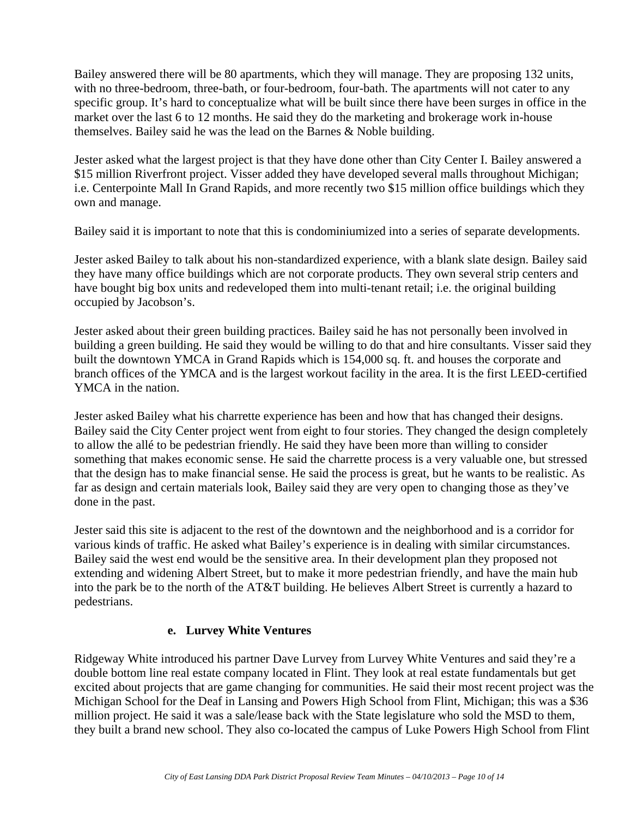Bailey answered there will be 80 apartments, which they will manage. They are proposing 132 units, with no three-bedroom, three-bath, or four-bedroom, four-bath. The apartments will not cater to any specific group. It's hard to conceptualize what will be built since there have been surges in office in the market over the last 6 to 12 months. He said they do the marketing and brokerage work in-house themselves. Bailey said he was the lead on the Barnes & Noble building.

Jester asked what the largest project is that they have done other than City Center I. Bailey answered a \$15 million Riverfront project. Visser added they have developed several malls throughout Michigan; i.e. Centerpointe Mall In Grand Rapids, and more recently two \$15 million office buildings which they own and manage.

Bailey said it is important to note that this is condominiumized into a series of separate developments.

Jester asked Bailey to talk about his non-standardized experience, with a blank slate design. Bailey said they have many office buildings which are not corporate products. They own several strip centers and have bought big box units and redeveloped them into multi-tenant retail; i.e. the original building occupied by Jacobson's.

Jester asked about their green building practices. Bailey said he has not personally been involved in building a green building. He said they would be willing to do that and hire consultants. Visser said they built the downtown YMCA in Grand Rapids which is 154,000 sq. ft. and houses the corporate and branch offices of the YMCA and is the largest workout facility in the area. It is the first LEED-certified YMCA in the nation.

Jester asked Bailey what his charrette experience has been and how that has changed their designs. Bailey said the City Center project went from eight to four stories. They changed the design completely to allow the allé to be pedestrian friendly. He said they have been more than willing to consider something that makes economic sense. He said the charrette process is a very valuable one, but stressed that the design has to make financial sense. He said the process is great, but he wants to be realistic. As far as design and certain materials look, Bailey said they are very open to changing those as they've done in the past.

Jester said this site is adjacent to the rest of the downtown and the neighborhood and is a corridor for various kinds of traffic. He asked what Bailey's experience is in dealing with similar circumstances. Bailey said the west end would be the sensitive area. In their development plan they proposed not extending and widening Albert Street, but to make it more pedestrian friendly, and have the main hub into the park be to the north of the AT&T building. He believes Albert Street is currently a hazard to pedestrians.

#### **e. Lurvey White Ventures**

Ridgeway White introduced his partner Dave Lurvey from Lurvey White Ventures and said they're a double bottom line real estate company located in Flint. They look at real estate fundamentals but get excited about projects that are game changing for communities. He said their most recent project was the Michigan School for the Deaf in Lansing and Powers High School from Flint, Michigan; this was a \$36 million project. He said it was a sale/lease back with the State legislature who sold the MSD to them, they built a brand new school. They also co-located the campus of Luke Powers High School from Flint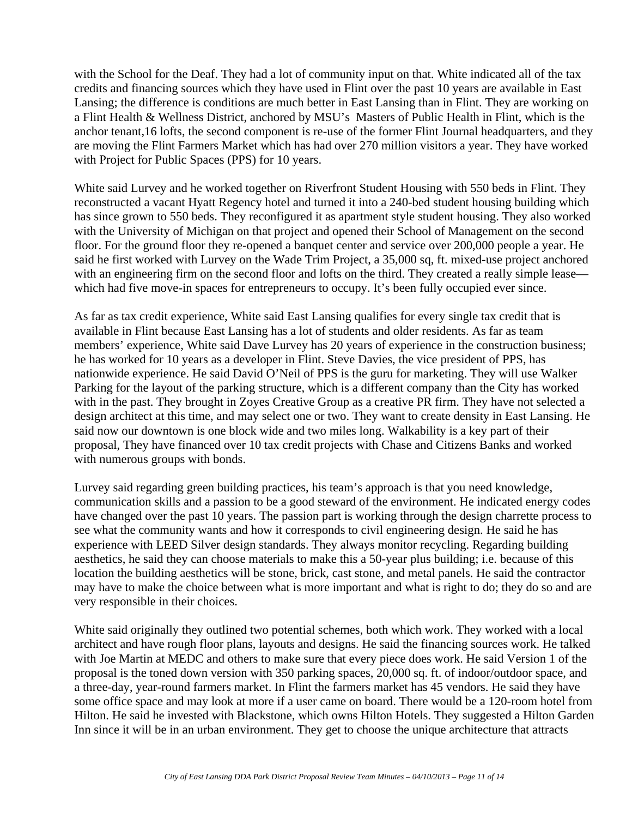with the School for the Deaf. They had a lot of community input on that. White indicated all of the tax credits and financing sources which they have used in Flint over the past 10 years are available in East Lansing; the difference is conditions are much better in East Lansing than in Flint. They are working on a Flint Health & Wellness District, anchored by MSU's Masters of Public Health in Flint, which is the anchor tenant,16 lofts, the second component is re-use of the former Flint Journal headquarters, and they are moving the Flint Farmers Market which has had over 270 million visitors a year. They have worked with Project for Public Spaces (PPS) for 10 years.

White said Lurvey and he worked together on Riverfront Student Housing with 550 beds in Flint. They reconstructed a vacant Hyatt Regency hotel and turned it into a 240-bed student housing building which has since grown to 550 beds. They reconfigured it as apartment style student housing. They also worked with the University of Michigan on that project and opened their School of Management on the second floor. For the ground floor they re-opened a banquet center and service over 200,000 people a year. He said he first worked with Lurvey on the Wade Trim Project, a 35,000 sq, ft. mixed-use project anchored with an engineering firm on the second floor and lofts on the third. They created a really simple lease which had five move-in spaces for entrepreneurs to occupy. It's been fully occupied ever since.

As far as tax credit experience, White said East Lansing qualifies for every single tax credit that is available in Flint because East Lansing has a lot of students and older residents. As far as team members' experience, White said Dave Lurvey has 20 years of experience in the construction business; he has worked for 10 years as a developer in Flint. Steve Davies, the vice president of PPS, has nationwide experience. He said David O'Neil of PPS is the guru for marketing. They will use Walker Parking for the layout of the parking structure, which is a different company than the City has worked with in the past. They brought in Zoyes Creative Group as a creative PR firm. They have not selected a design architect at this time, and may select one or two. They want to create density in East Lansing. He said now our downtown is one block wide and two miles long. Walkability is a key part of their proposal, They have financed over 10 tax credit projects with Chase and Citizens Banks and worked with numerous groups with bonds.

Lurvey said regarding green building practices, his team's approach is that you need knowledge, communication skills and a passion to be a good steward of the environment. He indicated energy codes have changed over the past 10 years. The passion part is working through the design charrette process to see what the community wants and how it corresponds to civil engineering design. He said he has experience with LEED Silver design standards. They always monitor recycling. Regarding building aesthetics, he said they can choose materials to make this a 50-year plus building; i.e. because of this location the building aesthetics will be stone, brick, cast stone, and metal panels. He said the contractor may have to make the choice between what is more important and what is right to do; they do so and are very responsible in their choices.

White said originally they outlined two potential schemes, both which work. They worked with a local architect and have rough floor plans, layouts and designs. He said the financing sources work. He talked with Joe Martin at MEDC and others to make sure that every piece does work. He said Version 1 of the proposal is the toned down version with 350 parking spaces, 20,000 sq. ft. of indoor/outdoor space, and a three-day, year-round farmers market. In Flint the farmers market has 45 vendors. He said they have some office space and may look at more if a user came on board. There would be a 120-room hotel from Hilton. He said he invested with Blackstone, which owns Hilton Hotels. They suggested a Hilton Garden Inn since it will be in an urban environment. They get to choose the unique architecture that attracts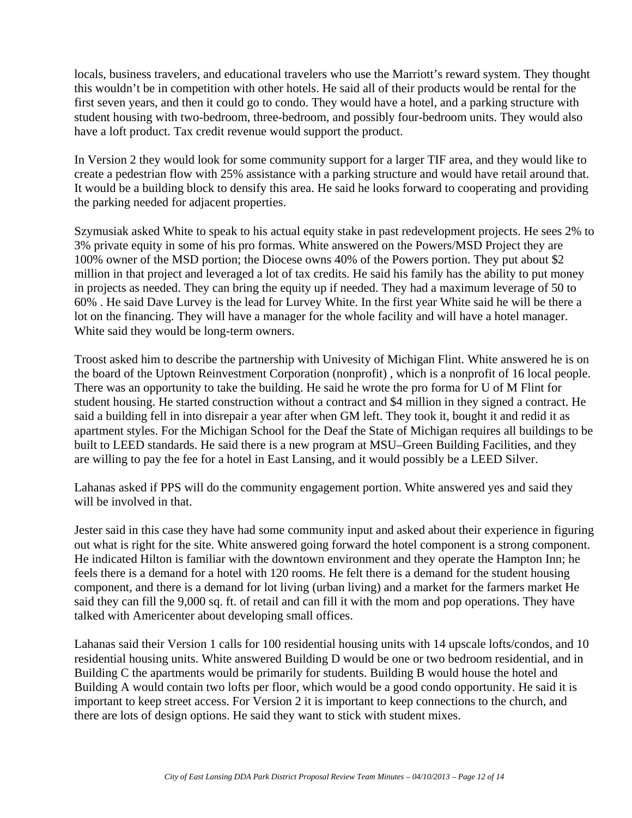locals, business travelers, and educational travelers who use the Marriott's reward system. They thought this wouldn't be in competition with other hotels. He said all of their products would be rental for the first seven years, and then it could go to condo. They would have a hotel, and a parking structure with student housing with two-bedroom, three-bedroom, and possibly four-bedroom units. They would also have a loft product. Tax credit revenue would support the product.

In Version 2 they would look for some community support for a larger TIF area, and they would like to create a pedestrian flow with 25% assistance with a parking structure and would have retail around that. It would be a building block to densify this area. He said he looks forward to cooperating and providing the parking needed for adjacent properties.

Szymusiak asked White to speak to his actual equity stake in past redevelopment projects. He sees 2% to 3% private equity in some of his pro formas. White answered on the Powers/MSD Project they are 100% owner of the MSD portion; the Diocese owns 40% of the Powers portion. They put about \$2 million in that project and leveraged a lot of tax credits. He said his family has the ability to put money in projects as needed. They can bring the equity up if needed. They had a maximum leverage of 50 to 60% . He said Dave Lurvey is the lead for Lurvey White. In the first year White said he will be there a lot on the financing. They will have a manager for the whole facility and will have a hotel manager. White said they would be long-term owners.

Troost asked him to describe the partnership with Univesity of Michigan Flint. White answered he is on the board of the Uptown Reinvestment Corporation (nonprofit) , which is a nonprofit of 16 local people. There was an opportunity to take the building. He said he wrote the pro forma for U of M Flint for student housing. He started construction without a contract and \$4 million in they signed a contract. He said a building fell in into disrepair a year after when GM left. They took it, bought it and redid it as apartment styles. For the Michigan School for the Deaf the State of Michigan requires all buildings to be built to LEED standards. He said there is a new program at MSU–Green Building Facilities, and they are willing to pay the fee for a hotel in East Lansing, and it would possibly be a LEED Silver.

Lahanas asked if PPS will do the community engagement portion. White answered yes and said they will be involved in that.

Jester said in this case they have had some community input and asked about their experience in figuring out what is right for the site. White answered going forward the hotel component is a strong component. He indicated Hilton is familiar with the downtown environment and they operate the Hampton Inn; he feels there is a demand for a hotel with 120 rooms. He felt there is a demand for the student housing component, and there is a demand for lot living (urban living) and a market for the farmers market He said they can fill the 9,000 sq. ft. of retail and can fill it with the mom and pop operations. They have talked with Americenter about developing small offices.

Lahanas said their Version 1 calls for 100 residential housing units with 14 upscale lofts/condos, and 10 residential housing units. White answered Building D would be one or two bedroom residential, and in Building C the apartments would be primarily for students. Building B would house the hotel and Building A would contain two lofts per floor, which would be a good condo opportunity. He said it is important to keep street access. For Version 2 it is important to keep connections to the church, and there are lots of design options. He said they want to stick with student mixes.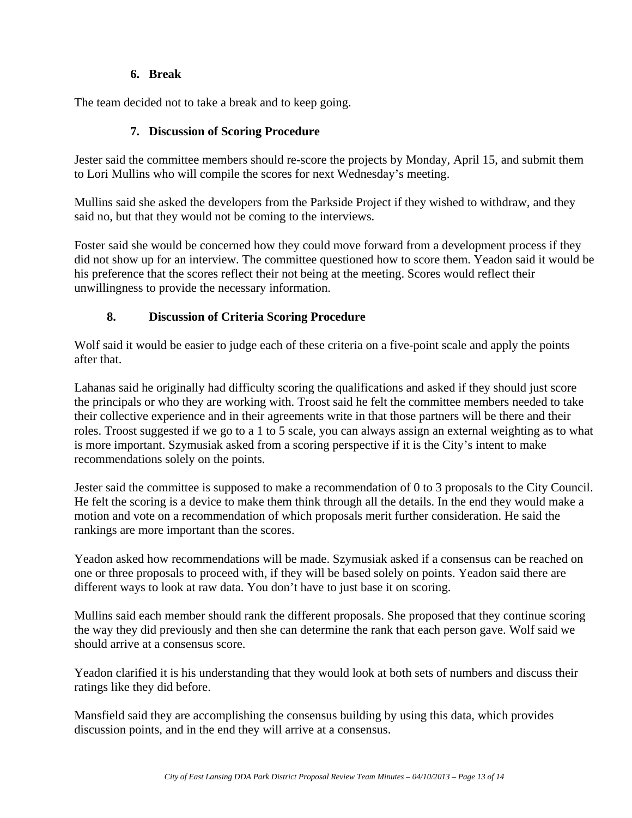#### **6. Break**

The team decided not to take a break and to keep going.

## **7. Discussion of Scoring Procedure**

Jester said the committee members should re-score the projects by Monday, April 15, and submit them to Lori Mullins who will compile the scores for next Wednesday's meeting.

Mullins said she asked the developers from the Parkside Project if they wished to withdraw, and they said no, but that they would not be coming to the interviews.

Foster said she would be concerned how they could move forward from a development process if they did not show up for an interview. The committee questioned how to score them. Yeadon said it would be his preference that the scores reflect their not being at the meeting. Scores would reflect their unwillingness to provide the necessary information.

# **8. Discussion of Criteria Scoring Procedure**

Wolf said it would be easier to judge each of these criteria on a five-point scale and apply the points after that.

Lahanas said he originally had difficulty scoring the qualifications and asked if they should just score the principals or who they are working with. Troost said he felt the committee members needed to take their collective experience and in their agreements write in that those partners will be there and their roles. Troost suggested if we go to a 1 to 5 scale, you can always assign an external weighting as to what is more important. Szymusiak asked from a scoring perspective if it is the City's intent to make recommendations solely on the points.

Jester said the committee is supposed to make a recommendation of 0 to 3 proposals to the City Council. He felt the scoring is a device to make them think through all the details. In the end they would make a motion and vote on a recommendation of which proposals merit further consideration. He said the rankings are more important than the scores.

Yeadon asked how recommendations will be made. Szymusiak asked if a consensus can be reached on one or three proposals to proceed with, if they will be based solely on points. Yeadon said there are different ways to look at raw data. You don't have to just base it on scoring.

Mullins said each member should rank the different proposals. She proposed that they continue scoring the way they did previously and then she can determine the rank that each person gave. Wolf said we should arrive at a consensus score.

Yeadon clarified it is his understanding that they would look at both sets of numbers and discuss their ratings like they did before.

Mansfield said they are accomplishing the consensus building by using this data, which provides discussion points, and in the end they will arrive at a consensus.